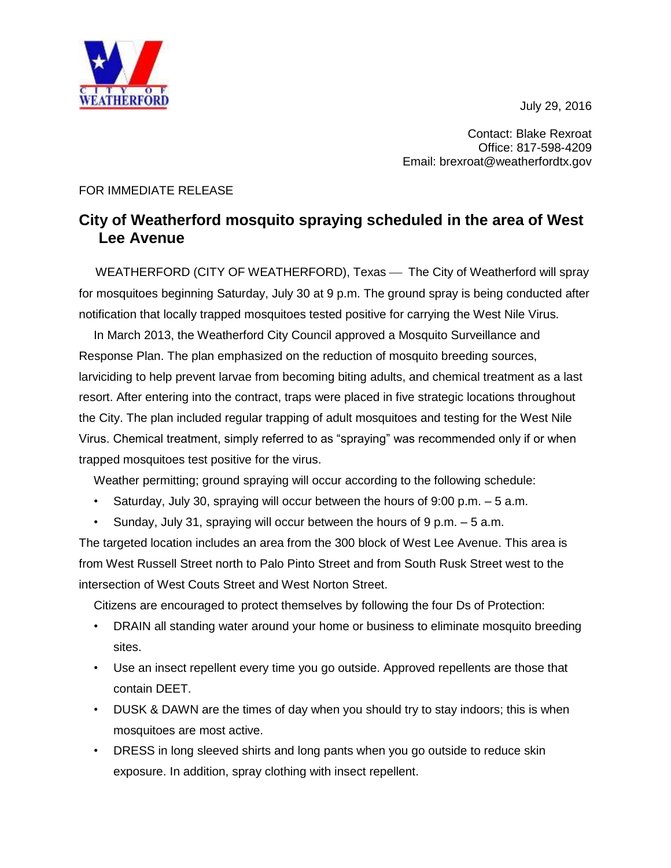July 29, 2016



Contact: Blake Rexroat Office: 817-598-4209 Email: brexroat@weatherfordtx.gov

## FOR IMMEDIATE RELEASE

## **City of Weatherford mosquito spraying scheduled in the area of West Lee Avenue**

WEATHERFORD (CITY OF WEATHERFORD), Texas — The City of Weatherford will spray for mosquitoes beginning Saturday, July 30 at 9 p.m. The ground spray is being conducted after notification that locally trapped mosquitoes tested positive for carrying the West Nile Virus.

In March 2013, the Weatherford City Council approved a Mosquito Surveillance and Response Plan. The plan emphasized on the reduction of mosquito breeding sources, larviciding to help prevent larvae from becoming biting adults, and chemical treatment as a last resort. After entering into the contract, traps were placed in five strategic locations throughout the City. The plan included regular trapping of adult mosquitoes and testing for the West Nile Virus. Chemical treatment, simply referred to as "spraying" was recommended only if or when trapped mosquitoes test positive for the virus.

Weather permitting; ground spraying will occur according to the following schedule:

- Saturday, July 30, spraying will occur between the hours of  $9:00$  p.m.  $-5$  a.m.
- Sunday, July 31, spraying will occur between the hours of  $9 \text{ p.m.} 5 \text{ a.m.}$

The targeted location includes an area from the 300 block of West Lee Avenue. This area is from West Russell Street north to Palo Pinto Street and from South Rusk Street west to the intersection of West Couts Street and West Norton Street.

Citizens are encouraged to protect themselves by following the four Ds of Protection:

- DRAIN all standing water around your home or business to eliminate mosquito breeding sites.
- Use an insect repellent every time you go outside. Approved repellents are those that contain DEET.
- DUSK & DAWN are the times of day when you should try to stay indoors; this is when mosquitoes are most active.
- DRESS in long sleeved shirts and long pants when you go outside to reduce skin exposure. In addition, spray clothing with insect repellent.